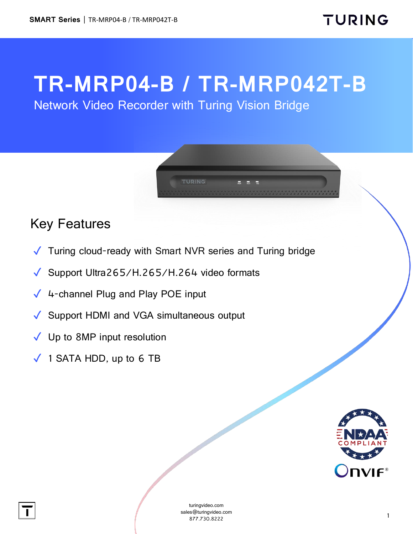## **TR-MRP04-B / TR-MRP042T-B**

Network Video Recorder with Turing Vision Bridge



## Key Features

- ✓ Turing cloud-ready with Smart NVR series and Turing bridge
- ✓ Support Ultra265/H.265/H.264 video formats
- $\sqrt{4}$ -channel Plug and Play POE input
- ✓ Support HDMI and VGA simultaneous output
- ✓ Up to 8MP input resolution
- $\sqrt{ }$  1 SATA HDD, up to 6 TB



[turingvideo.com](http://www.turingvideo.com/) sales@turingvideo.com 877.730.8222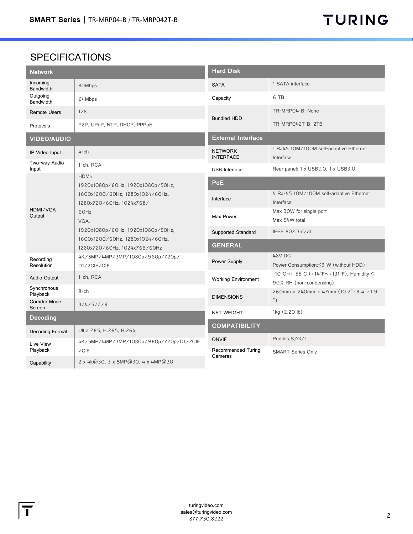## SPECIFICATIONS

| <b>Network</b>               |                                                                                                                  | <b>Hard Disk</b>                                          |                                                                                                                                  |
|------------------------------|------------------------------------------------------------------------------------------------------------------|-----------------------------------------------------------|----------------------------------------------------------------------------------------------------------------------------------|
| Incoming<br><b>Bandwidth</b> | 80Mbps                                                                                                           | <b>SATA</b>                                               | 1 SATA interface                                                                                                                 |
| Outgoing<br>Bandwidth        | 64Mbps                                                                                                           | Capacity                                                  | 6 TB                                                                                                                             |
| <b>Remote Users</b>          | 128                                                                                                              | <b>Bundled HDD</b>                                        | TR-MRPO4-B: None                                                                                                                 |
| Protocols                    | P2P, UPnP, NTP, DHCP, PPPoE                                                                                      |                                                           | TR-MRPO42T-B: 2TB                                                                                                                |
| <b>VIDEO/AUDIO</b>           |                                                                                                                  | <b>External Interface</b>                                 |                                                                                                                                  |
| IP Video Input               | $4$ -ch                                                                                                          | <b>NETWORK</b><br><b>INTERFACE</b>                        | 1 RJ45 10M/100M self-adaptive Ethernet<br>Interface                                                                              |
| Two-way Audio<br>Input       | 1-ch, RCA                                                                                                        | <b>USB</b> Interface                                      | Rear panel: 1 x USB2.0, 1 x USB3.0                                                                                               |
| HDMI/VGA<br>Output           | HDMI:<br>1920x1080p/60Hz, 1920x1080p/50Hz,                                                                       | <b>PoE</b>                                                |                                                                                                                                  |
|                              | 1600x1200/60Hz, 1280x1024/60Hz,<br>1280x720/60Hz, 1024x768/<br>60Hz<br>VGA:<br>1920x1080p/60Hz, 1920x1080p/50Hz, | Interface                                                 | 4 RJ-45 10M/100M self-adaptive Ethernet<br>Interface                                                                             |
|                              |                                                                                                                  | Max Power                                                 | Max 30W for single port<br>Max 54W total                                                                                         |
|                              |                                                                                                                  | <b>Supported Standard</b>                                 | IEEE 802.3af/at                                                                                                                  |
|                              | 1600x1200/60Hz, 1280x1024/60Hz,<br>1280x720/60Hz, 1024x768/60Hz                                                  | <b>GENERAL</b>                                            |                                                                                                                                  |
| Recording<br>Resolution      | 4K/5MP/4MP/3MP/1080p/960p/720p/<br>D1/2CIF/CIF                                                                   | Power Supply                                              | 48V DC<br>Power Consumption: ≤9 W (without HDD)                                                                                  |
| <b>Audio Output</b>          | 1-ch, RCA                                                                                                        | <b>Working Environment</b>                                | $-10^{\circ}$ C $\sim$ + 55 $^{\circ}$ C (+14 $^{\circ}$ F $\sim$ +131 $^{\circ}$ F), Humidity $\leq$<br>90% RH (non-condensing) |
| Synchronous<br>Playback      | $8$ -ch                                                                                                          | <b>DIMENSIONS</b>                                         | 260mm × 240mm × 47mm $(10.2" \times 9.4" \times 1.9)$                                                                            |
| Corridor Mode<br>Screen      | 3/4/5/7/9                                                                                                        |                                                           | ")                                                                                                                               |
| <b>Decoding</b>              |                                                                                                                  | <b>NET WEIGHT</b>                                         | 1kg (2.20 lb)                                                                                                                    |
| Decoding Format              | Ultra 265, H.265, H.264                                                                                          | <b>COMPATIBILITY</b>                                      |                                                                                                                                  |
| Live View<br>Playback        | 4K/5MP/4MP/3MP/1080p/960p/720p/D1/2CIF                                                                           | <b>ONVIF</b>                                              | Profiles S/G/T                                                                                                                   |
|                              | /CIF                                                                                                             | Recommended Turing<br><b>SMART Series Only</b><br>Cameras |                                                                                                                                  |
| Capability                   | 2 x 4k@30, 3 x 5MP@30, 4 x 4MP@30                                                                                |                                                           |                                                                                                                                  |